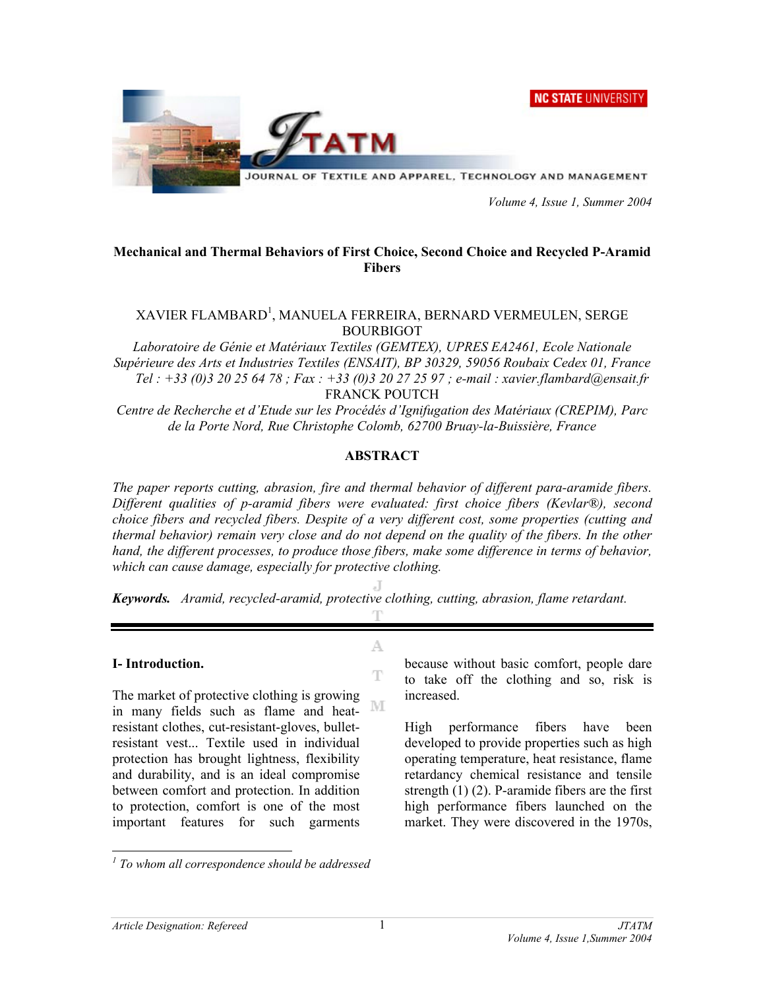**NC STATE UNIVERSITY** 



JOURNAL OF TEXTILE AND APPAREL, TECHNOLOGY AND MANAGEMENT

 *Volume 4, Issue 1, Summer 2004* 

### **Mechanical and Thermal Behaviors of First Choice, Second Choice and Recycled P-Aramid Fibers**

### XAVIER FLAMBARD<sup>1</sup>, MANUELA FERREIRA, BERNARD VERMEULEN, SERGE BOURBIGOT

*Laboratoire de Génie et Matériaux Textiles (GEMTEX), UPRES EA2461, Ecole Nationale Supérieure des Arts et Industries Textiles (ENSAIT), BP 30329, 59056 Roubaix Cedex 01, France Tel : +33 (0)3 20 25 64 78 ; Fax : +33 (0)3 20 27 25 97 ; e-mail : xavier.flambard@ensait.fr*  FRANCK POUTCH

*Centre de Recherche et d'Etude sur les Procédés d'Ignifugation des Matériaux (CREPIM), Parc de la Porte Nord, Rue Christophe Colomb, 62700 Bruay-la-Buissière, France* 

#### **ABSTRACT**

*The paper reports cutting, abrasion, fire and thermal behavior of different para-aramide fibers. Different qualities of p-aramid fibers were evaluated: first choice fibers (Kevlar®), second choice fibers and recycled fibers. Despite of a very different cost, some properties (cutting and thermal behavior) remain very close and do not depend on the quality of the fibers. In the other hand, the different processes, to produce those fibers, make some difference in terms of behavior, which can cause damage, especially for protective clothing.* 

*Keywords. Aramid, recycled-aramid, protective clothing, cutting, abrasion, flame retardant.*  т

A.

T

#### **I- Introduction.**

The market of protective clothing is growing NΙ in many fields such as flame and heatresistant clothes, cut-resistant-gloves, bulletresistant vest... Textile used in individual protection has brought lightness, flexibility and durability, and is an ideal compromise between comfort and protection. In addition to protection, comfort is one of the most important features for such garments

because without basic comfort, people dare to take off the clothing and so, risk is increased.

High performance fibers have been developed to provide properties such as high operating temperature, heat resistance, flame retardancy chemical resistance and tensile strength  $(1)$   $(2)$ . P-aramide fibers are the first high performance fibers launched on the market. They were discovered in the 1970s,

 *1 To whom all correspondence should be addressed*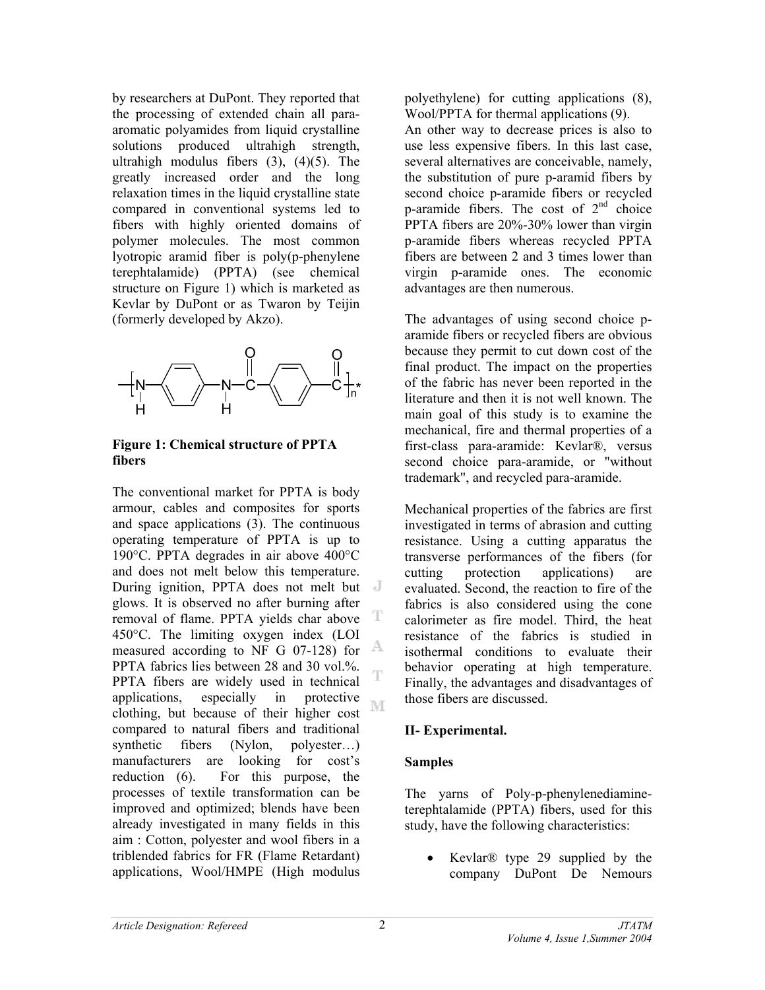by researchers at DuPont. They reported that the processing of extended chain all paraaromatic polyamides from liquid crystalline solutions produced ultrahigh strength, ultrahigh modulus fibers  $(3)$ ,  $(4)(5)$ . The greatly increased order and the long relaxation times in the liquid crystalline state compared in conventional systems led to fibers with highly oriented domains of polymer molecules. The most common lyotropic aramid fiber is poly(p-phenylene terephtalamide) (PPTA) (see chemical structure on Figure 1) which is marketed as Kevlar by DuPont or as Twaron by Teijin (formerly developed by Akzo).



### **Figure 1: Chemical structure of PPTA fibers**

The conventional market for PPTA is body armour, cables and composites for sports and space applications (3). The continuous operating temperature of PPTA is up to 190°C. PPTA degrades in air above 400°C and does not melt below this temperature. During ignition, PPTA does not melt but glows. It is observed no after burning after removal of flame. PPTA yields char above T 450°C. The limiting oxygen index (LOI A measured according to NF G 07-128) for PPTA fabrics lies between 28 and 30 vol.%. PPTA fibers are widely used in technical applications, especially in protective M clothing, but because of their higher cost compared to natural fibers and traditional synthetic fibers (Nylon, polyester…) manufacturers are looking for cost's reduction (6). For this purpose, the processes of textile transformation can be improved and optimized; blends have been already investigated in many fields in this aim : Cotton, polyester and wool fibers in a triblended fabrics for FR (Flame Retardant) applications, Wool/HMPE (High modulus

polyethylene) for cutting applications (8), Wool/PPTA for thermal applications (9). An other way to decrease prices is also to use less expensive fibers. In this last case, several alternatives are conceivable, namely, the substitution of pure p-aramid fibers by second choice p-aramide fibers or recycled p-aramide fibers. The cost of  $2<sup>nd</sup>$  choice PPTA fibers are 20%-30% lower than virgin p-aramide fibers whereas recycled PPTA fibers are between 2 and 3 times lower than virgin p-aramide ones. The economic advantages are then numerous.

The advantages of using second choice paramide fibers or recycled fibers are obvious because they permit to cut down cost of the final product. The impact on the properties of the fabric has never been reported in the literature and then it is not well known. The main goal of this study is to examine the mechanical, fire and thermal properties of a first-class para-aramide: Kevlar®, versus second choice para-aramide, or "without trademark", and recycled para-aramide.

Mechanical properties of the fabrics are first investigated in terms of abrasion and cutting resistance. Using a cutting apparatus the transverse performances of the fibers (for cutting protection applications) are evaluated. Second, the reaction to fire of the fabrics is also considered using the cone calorimeter as fire model. Third, the heat resistance of the fabrics is studied in isothermal conditions to evaluate their behavior operating at high temperature. Finally, the advantages and disadvantages of those fibers are discussed.

# **II- Experimental.**

# **Samples**

The yarns of Poly-p-phenylenediamineterephtalamide (PPTA) fibers, used for this study, have the following characteristics:

• Kevlar® type 29 supplied by the company DuPont De Nemours

T,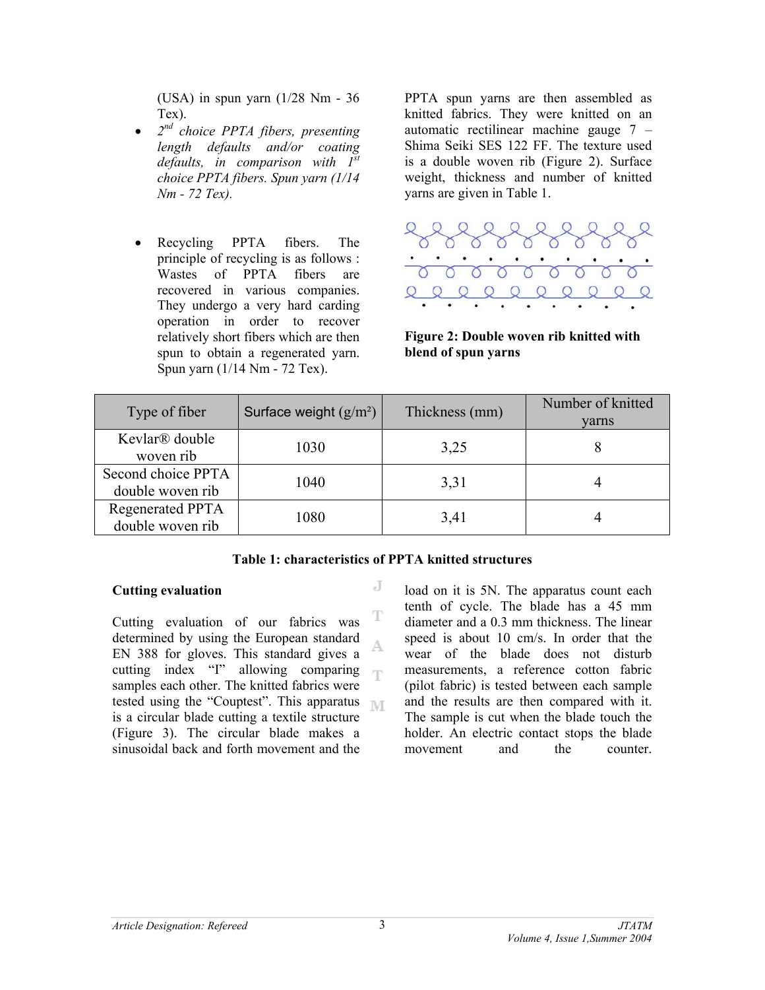(USA) in spun yarn (1/28 Nm - 36 Tex).

- *2nd choice PPTA fibers, presenting length defaults and/or coating defaults, in comparison with 1st choice PPTA fibers. Spun yarn (1/14 Nm - 72 Tex).*
- Recycling PPTA fibers. The principle of recycling is as follows : Wastes of PPTA fibers are recovered in various companies. They undergo a very hard carding operation in order to recover relatively short fibers which are then spun to obtain a regenerated yarn. Spun yarn (1/14 Nm - 72 Tex).

PPTA spun yarns are then assembled as knitted fabrics. They were knitted on an automatic rectilinear machine gauge 7 – Shima Seiki SES 122 FF. The texture used is a double woven rib (Figure 2). Surface weight, thickness and number of knitted yarns are given in Table 1.



### **Figure 2: Double woven rib knitted with blend of spun yarns**

| Type of fiber                               | Surface weight $(g/m^2)$ | Thickness (mm) | Number of knitted<br>varns |
|---------------------------------------------|--------------------------|----------------|----------------------------|
| Kevlar <sup>®</sup> double<br>woven rib     | 1030                     | 3,25           |                            |
| Second choice PPTA<br>double woven rib      | 1040                     | 3,31           |                            |
| <b>Regenerated PPTA</b><br>double woven rib | 1080                     | 3,41           |                            |

# **Table 1: characteristics of PPTA knitted structures**

J

# **Cutting evaluation**

T Cutting evaluation of our fabrics was determined by using the European standard A. EN 388 for gloves. This standard gives a cutting index "I" allowing comparing  $\mathcal{F}[\Gamma]$ samples each other. The knitted fabrics were tested using the "Couptest". This apparatus T is a circular blade cutting a textile structure (Figure 3). The circular blade makes a sinusoidal back and forth movement and the

load on it is 5N. The apparatus count each tenth of cycle. The blade has a 45 mm diameter and a 0.3 mm thickness. The linear speed is about 10 cm/s. In order that the wear of the blade does not disturb measurements, a reference cotton fabric (pilot fabric) is tested between each sample and the results are then compared with it. The sample is cut when the blade touch the holder. An electric contact stops the blade movement and the counter.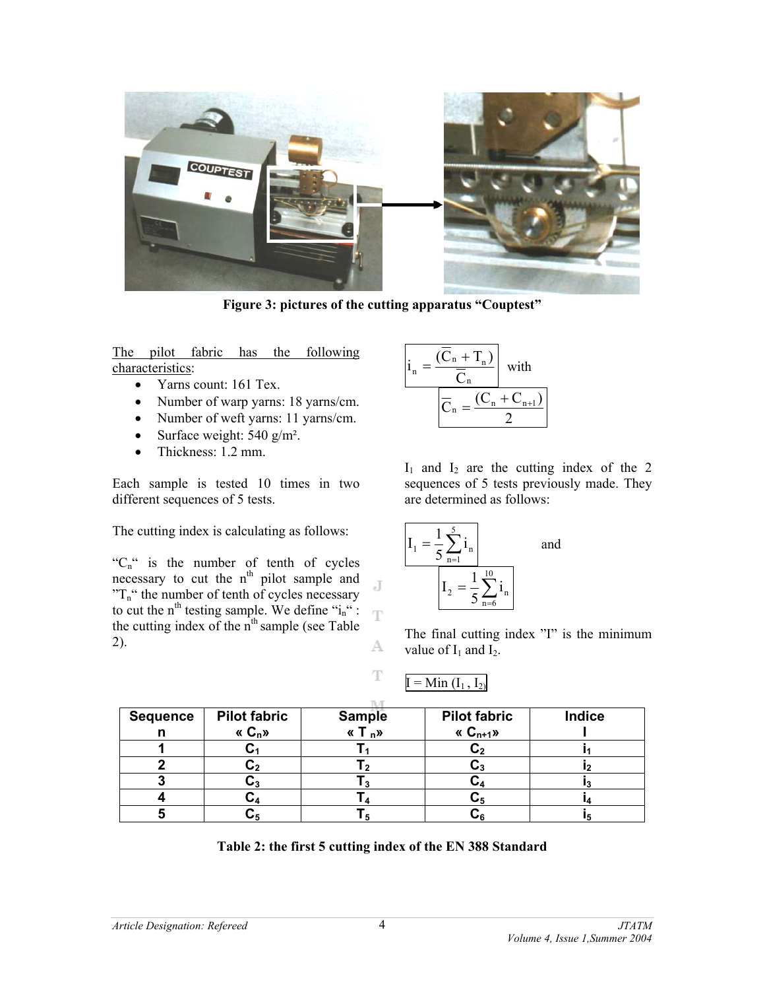

**Figure 3: pictures of the cutting apparatus "Couptest"** 

The pilot fabric has the following characteristics:

- Yarns count: 161 Tex.
- Number of warp yarns: 18 yarns/cm.
- Number of weft yarns: 11 yarns/cm.
- Surface weight:  $540 \text{ g/m}^2$ .
- Thickness: 1.2 mm.

Each sample is tested 10 times in two different sequences of 5 tests.

The cutting index is calculating as follows:

" $C_n$ " is the number of tenth of cycles necessary to cut the  $n<sup>th</sup>$  pilot sample and  $T_n$ " the number of tenth of cycles necessary to cut the n<sup>th</sup> testing sample. We define " $i_n$ " : the cutting index of the  $n<sup>th</sup>$  sample (see Table 2). A



 $I_1$  and  $I_2$  are the cutting index of the 2 sequences of 5 tests previously made. They are determined as follows:



The final cutting index "I" is the minimum value of  $I_1$  and  $I_2$ .

$$
I = Min (I1, I2)
$$

| <b>Sequence</b> | <b>Pilot fabric</b> | <b>Sample</b> | <b>Pilot fabric</b> | Indice |
|-----------------|---------------------|---------------|---------------------|--------|
| п               | « $C_n$ »           | « $T_{n}$ »   | « $C_{n+1}$ »       |        |
|                 |                     |               |                     |        |
|                 |                     |               |                     |        |
|                 |                     |               |                     |        |
|                 |                     |               |                     |        |
|                 |                     |               |                     |        |

J

 $\mathbb T$ 

**Table 2: the first 5 cutting index of the EN 388 Standard**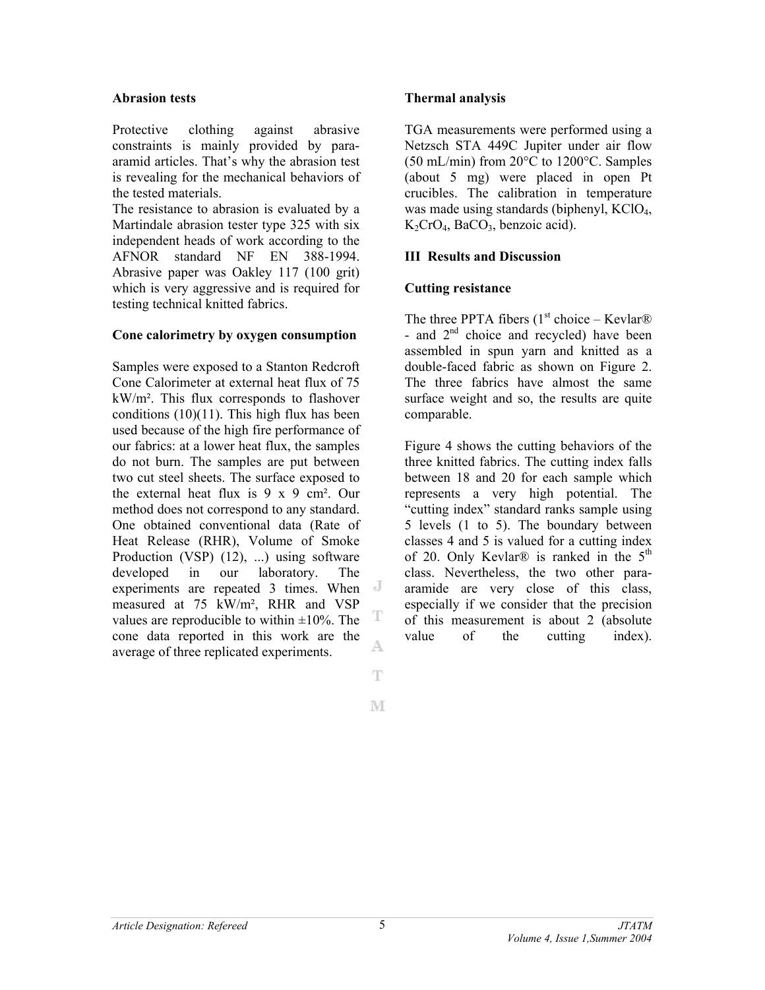#### **Abrasion tests**

Protective clothing against abrasive constraints is mainly provided by paraaramid articles. That's why the abrasion test is revealing for the mechanical behaviors of the tested materials.

The resistance to abrasion is evaluated by a Martindale abrasion tester type 325 with six independent heads of work according to the AFNOR standard NF EN 388-1994. Abrasive paper was Oakley 117 (100 grit) which is very aggressive and is required for testing technical knitted fabrics.

#### **Cone calorimetry by oxygen consumption**

Samples were exposed to a Stanton Redcroft Cone Calorimeter at external heat flux of 75 kW/m². This flux corresponds to flashover conditions  $(10)(11)$ . This high flux has been used because of the high fire performance of our fabrics: at a lower heat flux, the samples do not burn. The samples are put between two cut steel sheets. The surface exposed to the external heat flux is 9 x 9 cm². Our method does not correspond to any standard. One obtained conventional data (Rate of Heat Release (RHR), Volume of Smoke Production (VSP) (12), ...) using software developed in our laboratory. The experiments are repeated 3 times. When measured at 75 kW/m², RHR and VSP T values are reproducible to within  $\pm 10\%$ . The cone data reported in this work are the A. average of three replicated experiments.

### **Thermal analysis**

TGA measurements were performed using a Netzsch STA 449C Jupiter under air flow (50 mL/min) from 20°C to 1200°C. Samples (about 5 mg) were placed in open Pt crucibles. The calibration in temperature was made using standards (biphenyl, KClO<sub>4</sub>,  $K_2CrO_4$ , BaCO<sub>3</sub>, benzoic acid).

#### **III Results and Discussion**

#### **Cutting resistance**

The three PPTA fibers  $(1<sup>st</sup> choice – Kevlar<sup>®</sup>)$ - and  $2<sup>nd</sup>$  choice and recycled) have been assembled in spun yarn and knitted as a double-faced fabric as shown on Figure 2. The three fabrics have almost the same surface weight and so, the results are quite comparable.

Figure 4 shows the cutting behaviors of the three knitted fabrics. The cutting index falls between 18 and 20 for each sample which represents a very high potential. The "cutting index" standard ranks sample using 5 levels (1 to 5). The boundary between classes 4 and 5 is valued for a cutting index of 20. Only Kevlar® is ranked in the  $5<sup>th</sup>$ class. Nevertheless, the two other paraaramide are very close of this class, especially if we consider that the precision of this measurement is about 2 (absolute value of the cutting index).

 $\mathbb T$ M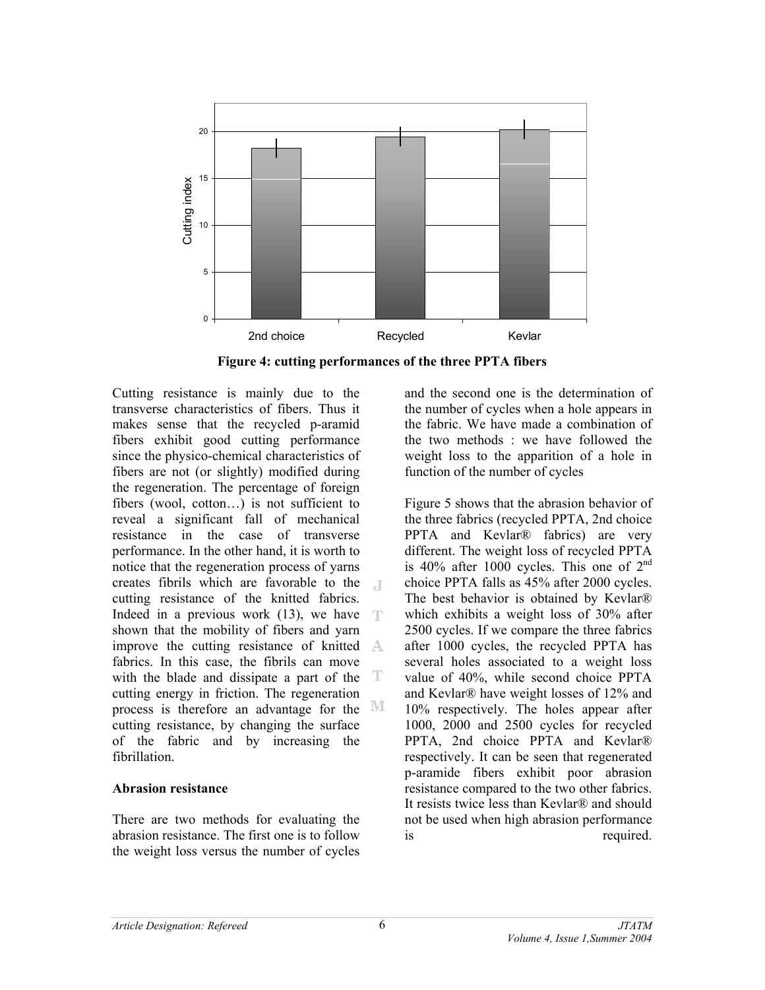

**Figure 4: cutting performances of the three PPTA fibers** 

Cutting resistance is mainly due to the transverse characteristics of fibers. Thus it makes sense that the recycled p-aramid fibers exhibit good cutting performance since the physico-chemical characteristics of fibers are not (or slightly) modified during the regeneration. The percentage of foreign fibers (wool, cotton…) is not sufficient to reveal a significant fall of mechanical resistance in the case of transverse performance. In the other hand, it is worth to notice that the regeneration process of yarns creates fibrils which are favorable to the  $\Box$ cutting resistance of the knitted fabrics. Indeed in a previous work (13), we have  $\top$ shown that the mobility of fibers and yarn improve the cutting resistance of knitted fabrics. In this case, the fibrils can move with the blade and dissipate a part of the  $T$ cutting energy in friction. The regeneration process is therefore an advantage for the cutting resistance, by changing the surface of the fabric and by increasing the fibrillation.

#### **Abrasion resistance**

There are two methods for evaluating the abrasion resistance. The first one is to follow the weight loss versus the number of cycles and the second one is the determination of the number of cycles when a hole appears in the fabric. We have made a combination of the two methods : we have followed the weight loss to the apparition of a hole in function of the number of cycles

Figure 5 shows that the abrasion behavior of the three fabrics (recycled PPTA, 2nd choice PPTA and Kevlar® fabrics) are very different. The weight loss of recycled PPTA is 40% after 1000 cycles. This one of  $2<sup>nd</sup>$ choice PPTA falls as 45% after 2000 cycles. The best behavior is obtained by Kevlar® which exhibits a weight loss of 30% after 2500 cycles. If we compare the three fabrics after 1000 cycles, the recycled PPTA has several holes associated to a weight loss value of 40%, while second choice PPTA and Kevlar® have weight losses of 12% and 10% respectively. The holes appear after 1000, 2000 and 2500 cycles for recycled PPTA, 2nd choice PPTA and Kevlar® respectively. It can be seen that regenerated p-aramide fibers exhibit poor abrasion resistance compared to the two other fabrics. It resists twice less than Kevlar® and should not be used when high abrasion performance is required.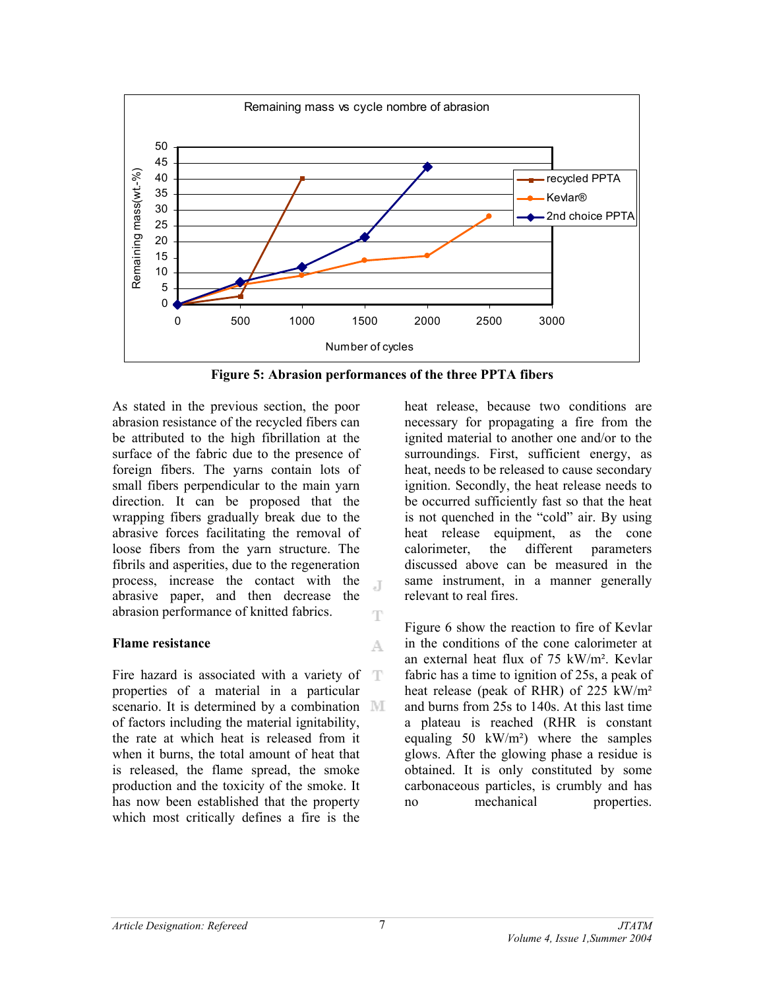

**Figure 5: Abrasion performances of the three PPTA fibers** 

 $\mathbb{L}$ 

T

A.

As stated in the previous section, the poor abrasion resistance of the recycled fibers can be attributed to the high fibrillation at the surface of the fabric due to the presence of foreign fibers. The yarns contain lots of small fibers perpendicular to the main yarn direction. It can be proposed that the wrapping fibers gradually break due to the abrasive forces facilitating the removal of loose fibers from the yarn structure. The fibrils and asperities, due to the regeneration process, increase the contact with the abrasive paper, and then decrease the abrasion performance of knitted fabrics.

# **Flame resistance**

Fire hazard is associated with a variety of properties of a material in a particular scenario. It is determined by a combination MI of factors including the material ignitability, the rate at which heat is released from it when it burns, the total amount of heat that is released, the flame spread, the smoke production and the toxicity of the smoke. It has now been established that the property which most critically defines a fire is the

heat release, because two conditions are necessary for propagating a fire from the ignited material to another one and/or to the surroundings. First, sufficient energy, as heat, needs to be released to cause secondary ignition. Secondly, the heat release needs to be occurred sufficiently fast so that the heat is not quenched in the "cold" air. By using heat release equipment, as the cone calorimeter, the different parameters discussed above can be measured in the same instrument, in a manner generally relevant to real fires.

Figure 6 show the reaction to fire of Kevlar in the conditions of the cone calorimeter at an external heat flux of 75 kW/m². Kevlar fabric has a time to ignition of 25s, a peak of heat release (peak of RHR) of 225 kW/m² and burns from 25s to 140s. At this last time a plateau is reached (RHR is constant equaling 50 kW/m<sup>2</sup>) where the samples glows. After the glowing phase a residue is obtained. It is only constituted by some carbonaceous particles, is crumbly and has no mechanical properties.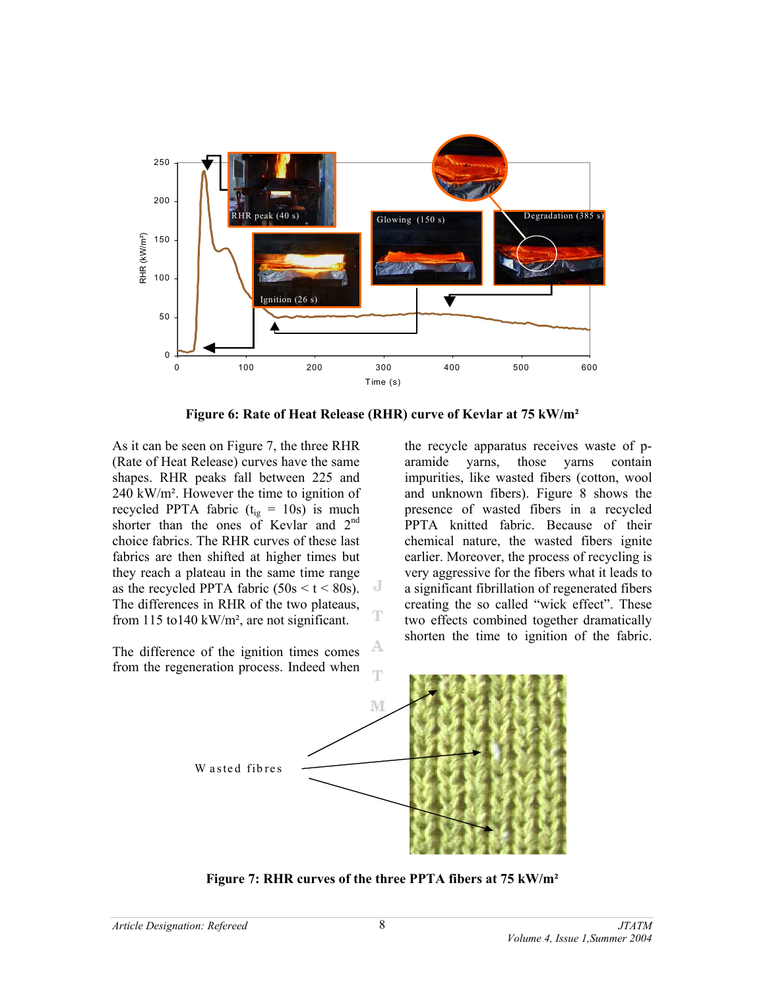

**Figure 6: Rate of Heat Release (RHR) curve of Kevlar at 75 kW/m²** 

As it can be seen on Figure 7, the three RHR (Rate of Heat Release) curves have the same shapes. RHR peaks fall between 225 and 240 kW/m². However the time to ignition of recycled PPTA fabric  $(t_{ig} = 10s)$  is much shorter than the ones of Kevlar and  $2<sup>nd</sup>$ choice fabrics. The RHR curves of these last fabrics are then shifted at higher times but they reach a plateau in the same time range as the recycled PPTA fabric  $(50s \le t \le 80s)$ . The differences in RHR of the two plateaus, from 115 to140 kW/m², are not significant.

A The difference of the ignition times comes from the regeneration process. Indeed when

the recycle apparatus receives waste of p-<br>aramide varns, those varns contain aramide yarns, those yarns contain impurities, like wasted fibers (cotton, wool and unknown fibers). Figure 8 shows the presence of wasted fibers in a recycled PPTA knitted fabric. Because of their chemical nature, the wasted fibers ignite earlier. Moreover, the process of recycling is very aggressive for the fibers what it leads to a significant fibrillation of regenerated fibers creating the so called "wick effect". These two effects combined together dramatically shorten the time to ignition of the fabric.



J

**Figure 7: RHR curves of the three PPTA fibers at 75 kW/m²**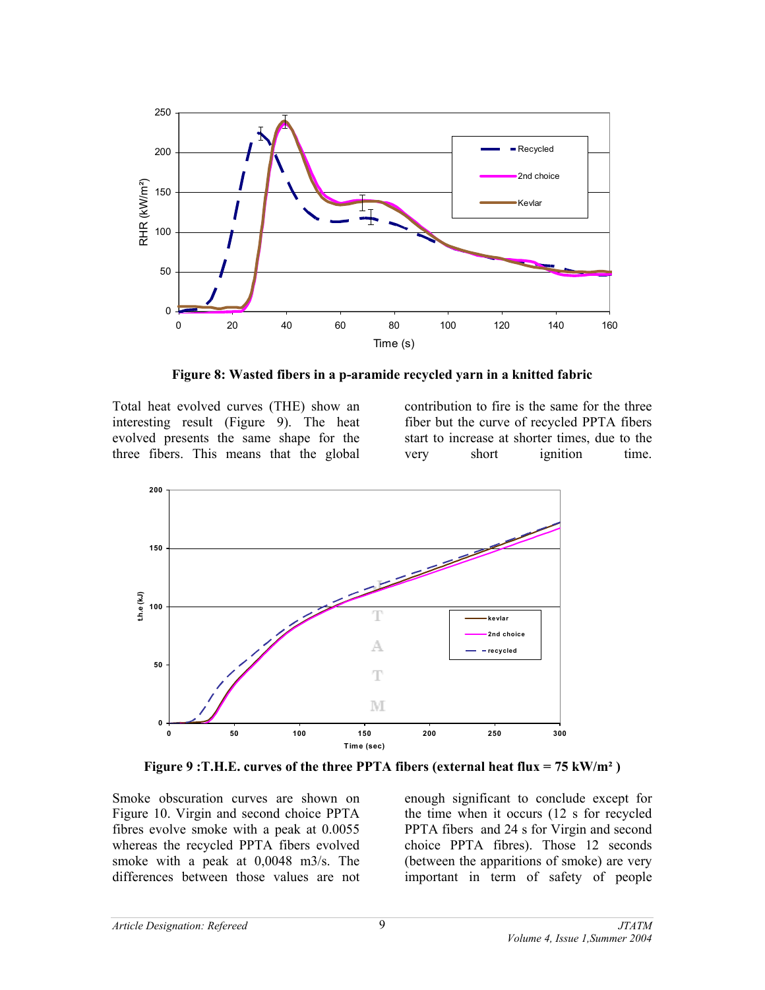

**Figure 8: Wasted fibers in a p-aramide recycled yarn in a knitted fabric** 

Total heat evolved curves (THE) show an interesting result (Figure 9). The heat evolved presents the same shape for the three fibers. This means that the global contribution to fire is the same for the three fiber but the curve of recycled PPTA fibers start to increase at shorter times, due to the very short ignition time.



**Figure 9 :T.H.E. curves of the three PPTA fibers (external heat flux = 75 kW/m² )** 

Smoke obscuration curves are shown on Figure 10. Virgin and second choice PPTA fibres evolve smoke with a peak at 0.0055 whereas the recycled PPTA fibers evolved smoke with a peak at 0,0048 m3/s. The differences between those values are not

enough significant to conclude except for the time when it occurs (12 s for recycled PPTA fibers and 24 s for Virgin and second choice PPTA fibres). Those 12 seconds (between the apparitions of smoke) are very important in term of safety of people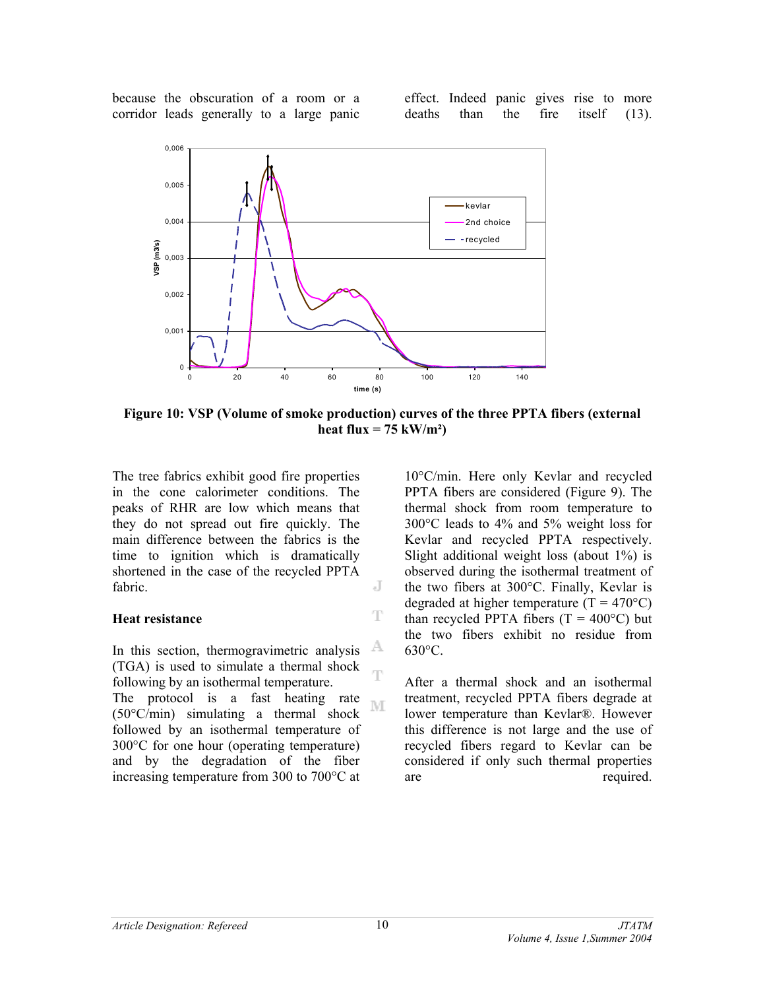because the obscuration of a room or a corridor leads generally to a large panic effect. Indeed panic gives rise to more deaths than the fire itself (13).



**Figure 10: VSP (Volume of smoke production) curves of the three PPTA fibers (external**  heat flux =  $75 \text{ kW/m}^2$ )

J

T

The tree fabrics exhibit good fire properties in the cone calorimeter conditions. The peaks of RHR are low which means that they do not spread out fire quickly. The main difference between the fabrics is the time to ignition which is dramatically shortened in the case of the recycled PPTA fabric.

#### **Heat resistance**

A In this section, thermogravimetric analysis (TGA) is used to simulate a thermal shock T following by an isothermal temperature. The protocol is a fast heating rate M (50°C/min) simulating a thermal shock followed by an isothermal temperature of 300°C for one hour (operating temperature) and by the degradation of the fiber increasing temperature from 300 to 700°C at

10°C/min. Here only Kevlar and recycled PPTA fibers are considered (Figure 9). The thermal shock from room temperature to 300°C leads to 4% and 5% weight loss for Kevlar and recycled PPTA respectively. Slight additional weight loss (about 1%) is observed during the isothermal treatment of the two fibers at 300°C. Finally, Kevlar is degraded at higher temperature  $(T = 470^{\circ}C)$ than recycled PPTA fibers  $(T = 400^{\circ}C)$  but the two fibers exhibit no residue from 630°C.

After a thermal shock and an isothermal treatment, recycled PPTA fibers degrade at lower temperature than Kevlar®. However this difference is not large and the use of recycled fibers regard to Kevlar can be considered if only such thermal properties are required.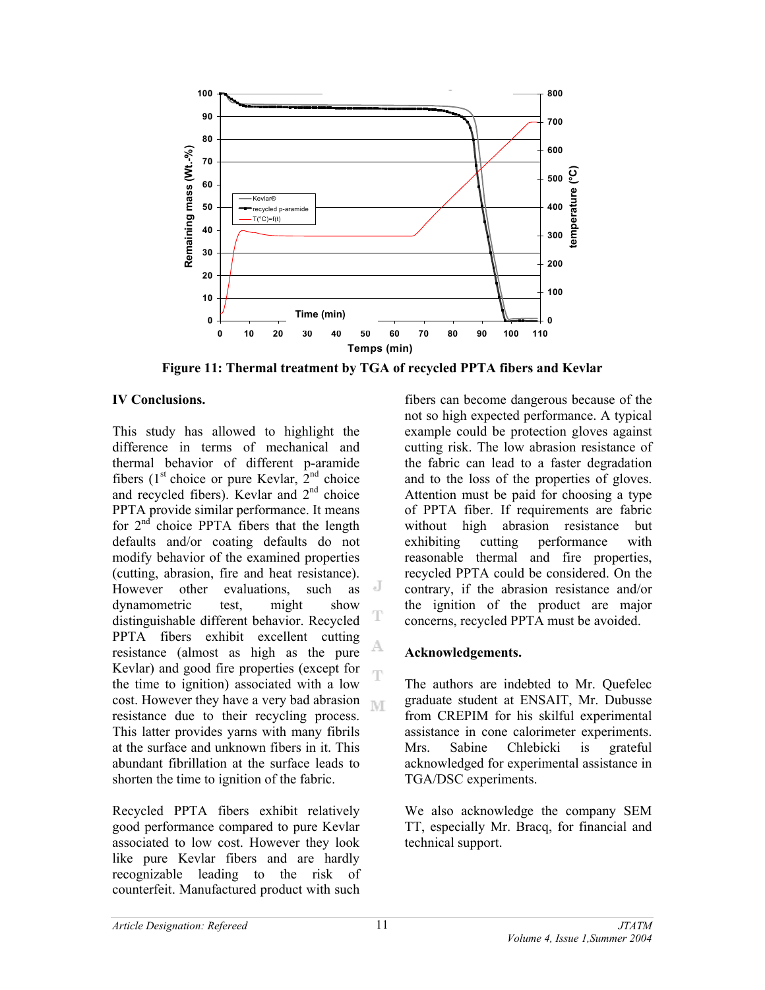

**Figure 11: Thermal treatment by TGA of recycled PPTA fibers and Kevlar** 

T

# **IV Conclusions.**

This study has allowed to highlight the difference in terms of mechanical and thermal behavior of different p-aramide fibers ( $1<sup>st</sup>$  choice or pure Kevlar,  $2<sup>nd</sup>$  choice and recycled fibers). Kevlar and  $2<sup>nd</sup>$  choice PPTA provide similar performance. It means for 2nd choice PPTA fibers that the length defaults and/or coating defaults do not modify behavior of the examined properties (cutting, abrasion, fire and heat resistance). J However other evaluations, such as dynamometric test, might show distinguishable different behavior. Recycled PPTA fibers exhibit excellent cutting A resistance (almost as high as the pure Kevlar) and good fire properties (except for Ŧ the time to ignition) associated with a low cost. However they have a very bad abrasion resistance due to their recycling process. This latter provides yarns with many fibrils at the surface and unknown fibers in it. This abundant fibrillation at the surface leads to shorten the time to ignition of the fabric.

Recycled PPTA fibers exhibit relatively good performance compared to pure Kevlar associated to low cost. However they look like pure Kevlar fibers and are hardly recognizable leading to the risk of counterfeit. Manufactured product with such

fibers can become dangerous because of the not so high expected performance. A typical example could be protection gloves against cutting risk. The low abrasion resistance of the fabric can lead to a faster degradation and to the loss of the properties of gloves. Attention must be paid for choosing a type of PPTA fiber. If requirements are fabric without high abrasion resistance but exhibiting cutting performance with reasonable thermal and fire properties, recycled PPTA could be considered. On the contrary, if the abrasion resistance and/or the ignition of the product are major concerns, recycled PPTA must be avoided.

# **Acknowledgements.**

The authors are indebted to Mr. Quefelec graduate student at ENSAIT, Mr. Dubusse from CREPIM for his skilful experimental assistance in cone calorimeter experiments. Mrs. Sabine Chlebicki is grateful acknowledged for experimental assistance in TGA/DSC experiments.

We also acknowledge the company SEM TT, especially Mr. Bracq, for financial and technical support.